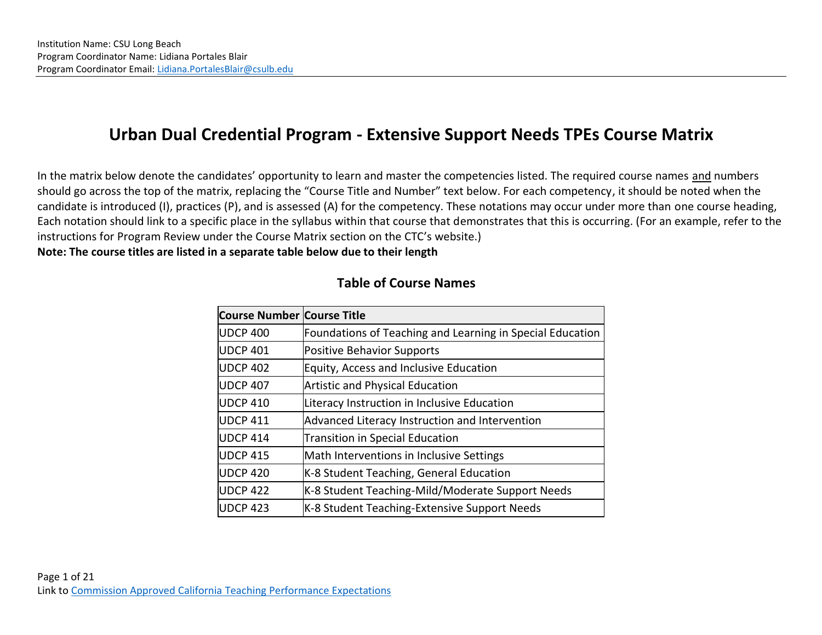# **Urban Dual Credential Program - Extensive Support Needs TPEs Course Matrix**

In the matrix below denote the candidates' opportunity to learn and master the competencies listed. The required course names and numbers should go across the top of the matrix, replacing the "Course Title and Number" text below. For each competency, it should be noted when the candidate is introduced (I), practices (P), and is assessed (A) for the competency. These notations may occur under more than one course heading, Each notation should link to a specific place in the syllabus within that course that demonstrates that this is occurring. (For an example, refer to the instructions for Program Review under the Course Matrix section on the CTC's website.)

**Note: The course titles are listed in a separate table below due to their length** 

| <b>Course Number Course Title</b> |                                                           |
|-----------------------------------|-----------------------------------------------------------|
| <b>UDCP 400</b>                   | Foundations of Teaching and Learning in Special Education |
| <b>UDCP 401</b>                   | <b>Positive Behavior Supports</b>                         |
| <b>UDCP 402</b>                   | Equity, Access and Inclusive Education                    |
| <b>UDCP 407</b>                   | <b>Artistic and Physical Education</b>                    |
| <b>UDCP 410</b>                   | Literacy Instruction in Inclusive Education               |
| <b>UDCP 411</b>                   | Advanced Literacy Instruction and Intervention            |
| <b>UDCP 414</b>                   | <b>Transition in Special Education</b>                    |
| <b>UDCP 415</b>                   | Math Interventions in Inclusive Settings                  |
| <b>UDCP 420</b>                   | K-8 Student Teaching, General Education                   |
| <b>UDCP 422</b>                   | K-8 Student Teaching-Mild/Moderate Support Needs          |
| <b>UDCP 423</b>                   | K-8 Student Teaching-Extensive Support Needs              |

#### **Table of Course Names**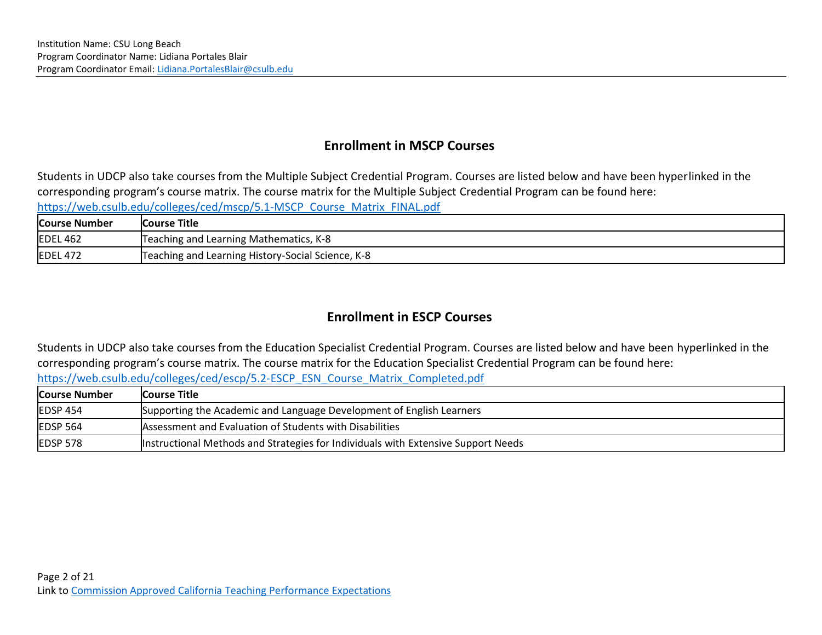## **Enrollment in MSCP Courses**

Students in UDCP also take courses from the Multiple Subject Credential Program. Courses are listed below and have been hyperlinked in the corresponding program's course matrix. The course matrix for the Multiple Subject Credential Program can be found here: [https://web.csulb.edu/colleges/ced/mscp/5.1-MSCP\\_Course\\_Matrix\\_FINAL.pdf](https://web.csulb.edu/colleges/ced/mscp/5.1-MSCP_Course_Matrix_FINAL.pdf)

| <b>Course Number</b> | <b>Course Title</b>                               |
|----------------------|---------------------------------------------------|
| <b>EDEL 462</b>      | Teaching and Learning Mathematics, K-8            |
| <b>EDEL 472</b>      | Teaching and Learning History-Social Science, K-8 |

# **Enrollment in ESCP Courses**

Students in UDCP also take courses from the Education Specialist Credential Program. Courses are listed below and have been hyperlinked in the corresponding program's course matrix. The course matrix for the Education Specialist Credential Program can be found here: [https://web.csulb.edu/colleges/ced/escp/5.2-ESCP\\_ESN\\_Course\\_Matrix\\_Completed.pdf](https://web.csulb.edu/colleges/ced/escp/5.2-ESCP_ESN_Course_Matrix_Completed.pdf)

| <b>Course Number</b> | Course Title_                                                                     |
|----------------------|-----------------------------------------------------------------------------------|
| <b>EDSP 454</b>      | Supporting the Academic and Language Development of English Learners              |
| $E$ DSP 564          | Assessment and Evaluation of Students with Disabilities                           |
| EDSP 578             | Instructional Methods and Strategies for Individuals with Extensive Support Needs |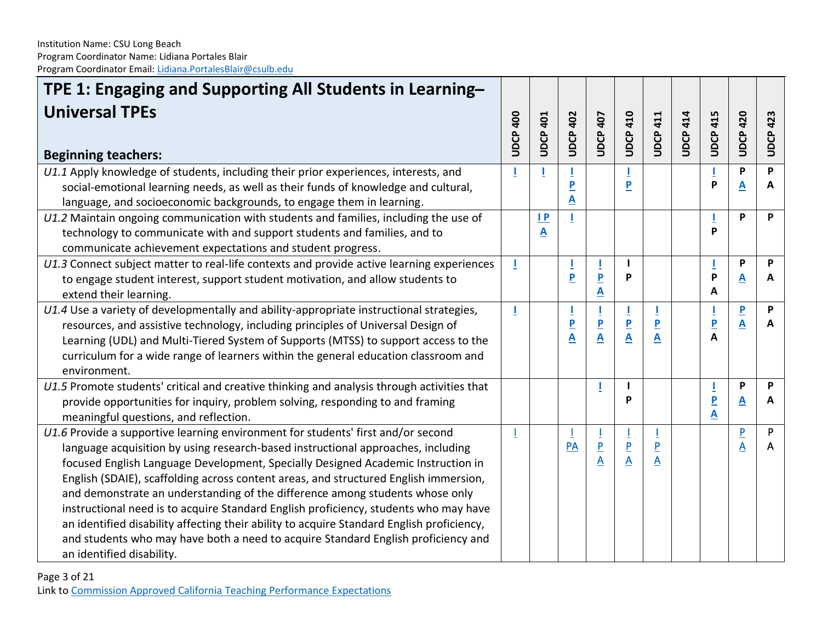| TPE 1: Engaging and Supporting All Students in Learning-                                   |          |                         |                              |                                                     |                              |                         |                 |                     |                         |                 |
|--------------------------------------------------------------------------------------------|----------|-------------------------|------------------------------|-----------------------------------------------------|------------------------------|-------------------------|-----------------|---------------------|-------------------------|-----------------|
| <b>Universal TPEs</b>                                                                      | UDCP 400 | <b>UDCP 401</b>         | <b>UDCP 402</b>              | <b>UDCP 407</b>                                     | <b>UDCP 410</b>              | <b>UDCP 411</b>         | <b>UDCP 414</b> | <b>UDCP 415</b>     | <b>UDCP 420</b>         | <b>UDCP 423</b> |
| <b>Beginning teachers:</b>                                                                 |          |                         |                              |                                                     |                              |                         |                 |                     |                         |                 |
| U1.1 Apply knowledge of students, including their prior experiences, interests, and        |          |                         |                              |                                                     |                              |                         |                 | P                   | P                       | P               |
| social-emotional learning needs, as well as their funds of knowledge and cultural,         |          |                         | <u>P</u><br>A                |                                                     | P                            |                         |                 |                     | <u>A</u>                | A               |
| language, and socioeconomic backgrounds, to engage them in learning.                       |          |                         |                              |                                                     |                              |                         |                 |                     |                         |                 |
| U1.2 Maintain ongoing communication with students and families, including the use of       |          | $\mathsf{I} \mathsf{P}$ |                              |                                                     |                              |                         |                 | P                   | P                       | P               |
| technology to communicate with and support students and families, and to                   |          | A                       |                              |                                                     |                              |                         |                 |                     |                         |                 |
| communicate achievement expectations and student progress.                                 |          |                         |                              |                                                     |                              |                         |                 |                     |                         |                 |
| U1.3 Connect subject matter to real-life contexts and provide active learning experiences  | J.       |                         |                              |                                                     | P                            |                         |                 | P                   | P                       | P               |
| to engage student interest, support student motivation, and allow students to              |          |                         | P                            | $\overline{\mathsf{P}}$<br>$\underline{\mathsf{A}}$ |                              |                         |                 | A                   | A                       | A               |
| extend their learning.                                                                     |          |                         |                              |                                                     |                              |                         |                 |                     |                         |                 |
| U1.4 Use a variety of developmentally and ability-appropriate instructional strategies,    | J.       |                         | Ţ                            | Ī                                                   | Ţ                            |                         |                 |                     | $\overline{\mathbf{P}}$ | P               |
| resources, and assistive technology, including principles of Universal Design of           |          |                         | $\overline{\mathbf{P}}$<br>A | $\overline{\mathsf{P}}$<br>$\overline{\mathbf{A}}$  | $\overline{\mathbf{P}}$<br>A | $\overline{P}$          |                 | $\overline{P}$<br>A | A                       | A               |
| Learning (UDL) and Multi-Tiered System of Supports (MTSS) to support access to the         |          |                         |                              |                                                     |                              | A                       |                 |                     |                         |                 |
| curriculum for a wide range of learners within the general education classroom and         |          |                         |                              |                                                     |                              |                         |                 |                     |                         |                 |
| environment.                                                                               |          |                         |                              |                                                     |                              |                         |                 |                     |                         |                 |
| U1.5 Promote students' critical and creative thinking and analysis through activities that |          |                         |                              |                                                     |                              |                         |                 |                     | P                       | P               |
| provide opportunities for inquiry, problem solving, responding to and framing              |          |                         |                              |                                                     | P                            |                         |                 | $\overline{P}$      | A                       | A               |
| meaningful questions, and reflection.                                                      |          |                         |                              |                                                     |                              |                         |                 | A                   |                         |                 |
| U1.6 Provide a supportive learning environment for students' first and/or second           |          |                         |                              |                                                     |                              |                         |                 |                     | $\overline{P}$          | P               |
| language acquisition by using research-based instructional approaches, including           |          |                         | PA                           | $\frac{P}{A}$                                       | $\frac{P}{A}$                | $\overline{P}$          |                 |                     | A                       | A               |
| focused English Language Development, Specially Designed Academic Instruction in           |          |                         |                              |                                                     |                              | $\overline{\mathsf{A}}$ |                 |                     |                         |                 |
| English (SDAIE), scaffolding across content areas, and structured English immersion,       |          |                         |                              |                                                     |                              |                         |                 |                     |                         |                 |
| and demonstrate an understanding of the difference among students whose only               |          |                         |                              |                                                     |                              |                         |                 |                     |                         |                 |
| instructional need is to acquire Standard English proficiency, students who may have       |          |                         |                              |                                                     |                              |                         |                 |                     |                         |                 |
| an identified disability affecting their ability to acquire Standard English proficiency,  |          |                         |                              |                                                     |                              |                         |                 |                     |                         |                 |
| and students who may have both a need to acquire Standard English proficiency and          |          |                         |                              |                                                     |                              |                         |                 |                     |                         |                 |
| an identified disability.                                                                  |          |                         |                              |                                                     |                              |                         |                 |                     |                         |                 |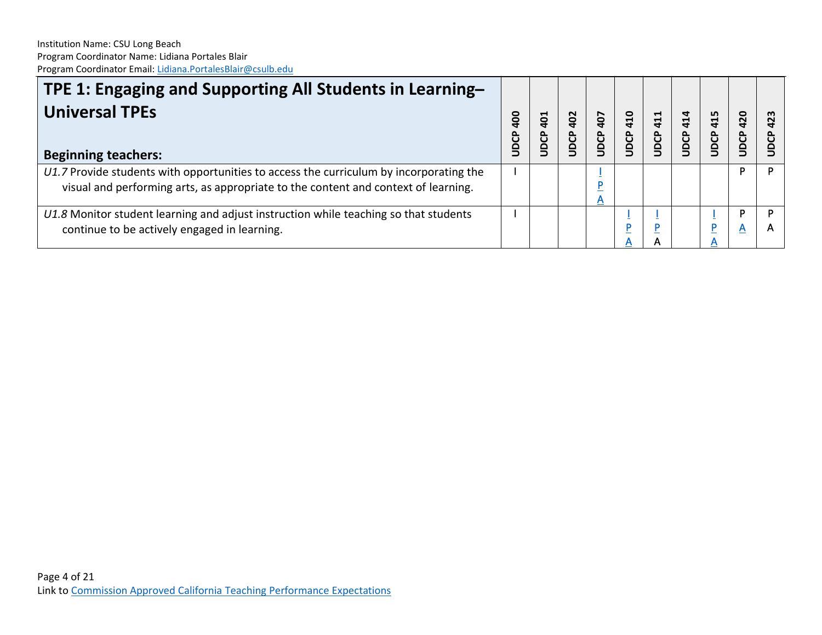| TPE 1: Engaging and Supporting All Students in Learning-<br><b>Universal TPEs</b><br><b>Beginning teachers:</b>                                                              | <u>ခို</u><br>JDCP | $\overline{5}$<br>UDCP | 402<br>JDCP | 407<br>DCP | 410<br><b>DCP</b> | 411<br>UDCP | 414<br>JDCP | 415<br>UDCP | 420<br>UDCP | m<br>$\sim$ |
|------------------------------------------------------------------------------------------------------------------------------------------------------------------------------|--------------------|------------------------|-------------|------------|-------------------|-------------|-------------|-------------|-------------|-------------|
| U1.7 Provide students with opportunities to access the curriculum by incorporating the<br>visual and performing arts, as appropriate to the content and context of learning. |                    |                        |             | A          |                   |             |             |             | D           |             |
| U1.8 Monitor student learning and adjust instruction while teaching so that students<br>continue to be actively engaged in learning.                                         |                    |                        |             |            |                   |             |             |             | Α           |             |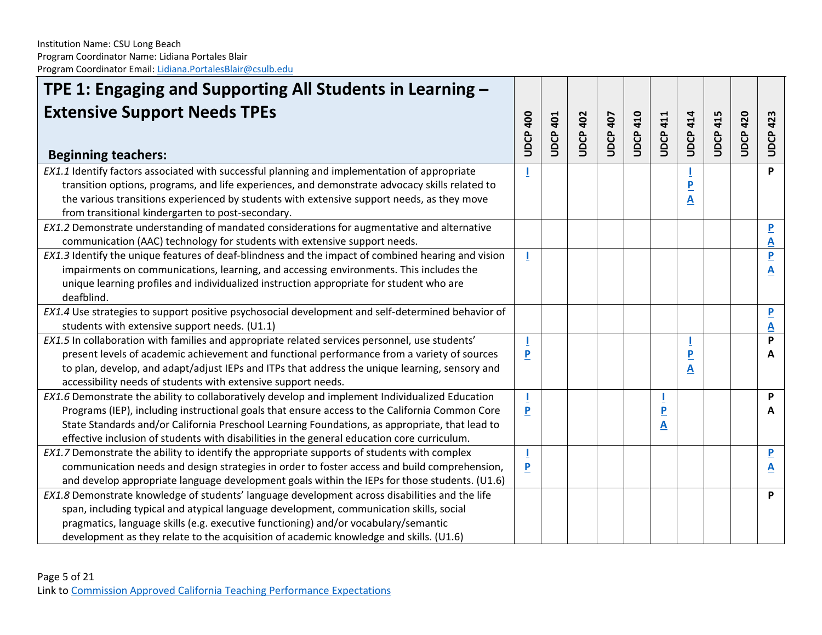| TPE 1: Engaging and Supporting All Students in Learning -                                          |                         |                 |                 |                 |                 |                         |                 |                 |              |                         |
|----------------------------------------------------------------------------------------------------|-------------------------|-----------------|-----------------|-----------------|-----------------|-------------------------|-----------------|-----------------|--------------|-------------------------|
| <b>Extensive Support Needs TPEs</b><br><b>Beginning teachers:</b>                                  | <b>UDCP 400</b>         | <b>UDCP 401</b> | <b>UDCP 402</b> | <b>UDCP 407</b> | <b>UDCP 410</b> | 411<br>UDCP.            | <b>UDCP 414</b> | <b>UDCP 415</b> | 420<br>UDCP. | <b>UDCP 423</b>         |
| EX1.1 Identify factors associated with successful planning and implementation of appropriate       |                         |                 |                 |                 |                 |                         |                 |                 |              | P                       |
| transition options, programs, and life experiences, and demonstrate advocacy skills related to     |                         |                 |                 |                 |                 |                         |                 |                 |              |                         |
| the various transitions experienced by students with extensive support needs, as they move         |                         |                 |                 |                 |                 |                         | Α               |                 |              |                         |
| from transitional kindergarten to post-secondary.                                                  |                         |                 |                 |                 |                 |                         |                 |                 |              |                         |
| EX1.2 Demonstrate understanding of mandated considerations for augmentative and alternative        |                         |                 |                 |                 |                 |                         |                 |                 |              | $\overline{\mathsf{P}}$ |
| communication (AAC) technology for students with extensive support needs.                          |                         |                 |                 |                 |                 |                         |                 |                 |              | A                       |
| EX1.3 Identify the unique features of deaf-blindness and the impact of combined hearing and vision | ш                       |                 |                 |                 |                 |                         |                 |                 |              | $\overline{\mathbf{P}}$ |
| impairments on communications, learning, and accessing environments. This includes the             |                         |                 |                 |                 |                 |                         |                 |                 |              | <u>A</u>                |
| unique learning profiles and individualized instruction appropriate for student who are            |                         |                 |                 |                 |                 |                         |                 |                 |              |                         |
| deafblind.                                                                                         |                         |                 |                 |                 |                 |                         |                 |                 |              |                         |
| EX1.4 Use strategies to support positive psychosocial development and self-determined behavior of  |                         |                 |                 |                 |                 |                         |                 |                 |              | $\overline{\mathbf{P}}$ |
| students with extensive support needs. (U1.1)                                                      |                         |                 |                 |                 |                 |                         |                 |                 |              | A                       |
| EX1.5 In collaboration with families and appropriate related services personnel, use students'     |                         |                 |                 |                 |                 |                         |                 |                 |              | P                       |
| present levels of academic achievement and functional performance from a variety of sources        | P                       |                 |                 |                 |                 |                         |                 |                 |              | A                       |
| to plan, develop, and adapt/adjust IEPs and ITPs that address the unique learning, sensory and     |                         |                 |                 |                 |                 |                         | Α               |                 |              |                         |
| accessibility needs of students with extensive support needs.                                      |                         |                 |                 |                 |                 |                         |                 |                 |              |                         |
| EX1.6 Demonstrate the ability to collaboratively develop and implement Individualized Education    |                         |                 |                 |                 |                 |                         |                 |                 |              | P                       |
| Programs (IEP), including instructional goals that ensure access to the California Common Core     | $\overline{\mathbf{P}}$ |                 |                 |                 |                 | $\overline{\mathbf{P}}$ |                 |                 |              | A                       |
| State Standards and/or California Preschool Learning Foundations, as appropriate, that lead to     |                         |                 |                 |                 |                 | A                       |                 |                 |              |                         |
| effective inclusion of students with disabilities in the general education core curriculum.        |                         |                 |                 |                 |                 |                         |                 |                 |              |                         |
| EX1.7 Demonstrate the ability to identify the appropriate supports of students with complex        |                         |                 |                 |                 |                 |                         |                 |                 |              | $\overline{\mathbf{P}}$ |
| communication needs and design strategies in order to foster access and build comprehension,       | P                       |                 |                 |                 |                 |                         |                 |                 |              | <u>А</u>                |
| and develop appropriate language development goals within the IEPs for those students. (U1.6)      |                         |                 |                 |                 |                 |                         |                 |                 |              |                         |
| EX1.8 Demonstrate knowledge of students' language development across disabilities and the life     |                         |                 |                 |                 |                 |                         |                 |                 |              | P                       |
| span, including typical and atypical language development, communication skills, social            |                         |                 |                 |                 |                 |                         |                 |                 |              |                         |
| pragmatics, language skills (e.g. executive functioning) and/or vocabulary/semantic                |                         |                 |                 |                 |                 |                         |                 |                 |              |                         |
| development as they relate to the acquisition of academic knowledge and skills. (U1.6)             |                         |                 |                 |                 |                 |                         |                 |                 |              |                         |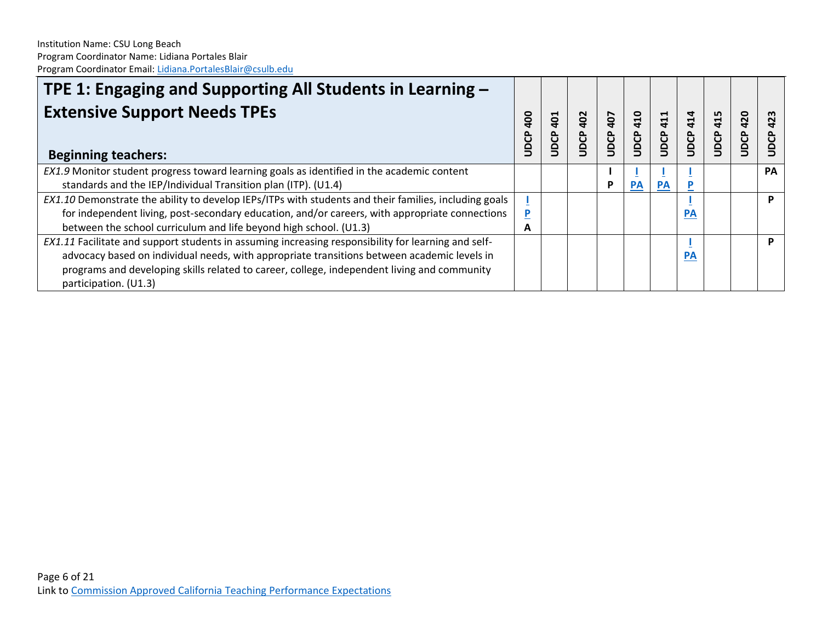| <b>TPE 1: Engaging and Supporting All Students in Learning –</b>                                      |                           |                        |             |                    |             |             |                    |             |             |                   |
|-------------------------------------------------------------------------------------------------------|---------------------------|------------------------|-------------|--------------------|-------------|-------------|--------------------|-------------|-------------|-------------------|
| <b>Extensive Support Needs TPEs</b><br><b>Beginning teachers:</b>                                     | <u>ခို</u><br><b>ODCP</b> | $\overline{5}$<br>UDCP | 402<br>JDCP | 407<br><b>JDCP</b> | 410<br>UDCP | 411<br>UDCP | 414<br><b>UDCP</b> | 415<br>UDCP | 420<br>UDCP | 423<br><b>BCP</b> |
| EX1.9 Monitor student progress toward learning goals as identified in the academic content            |                           |                        |             |                    |             |             |                    |             |             | PА                |
| standards and the IEP/Individual Transition plan (ITP). (U1.4)                                        |                           |                        |             | Р                  | <b>PA</b>   | <b>PA</b>   |                    |             |             |                   |
| EX1.10 Demonstrate the ability to develop IEPs/ITPs with students and their families, including goals |                           |                        |             |                    |             |             |                    |             |             | D                 |
| for independent living, post-secondary education, and/or careers, with appropriate connections        | P                         |                        |             |                    |             |             | <b>PA</b>          |             |             |                   |
| between the school curriculum and life beyond high school. (U1.3)                                     | A                         |                        |             |                    |             |             |                    |             |             |                   |
| EX1.11 Facilitate and support students in assuming increasing responsibility for learning and self-   |                           |                        |             |                    |             |             |                    |             |             |                   |
| advocacy based on individual needs, with appropriate transitions between academic levels in           |                           |                        |             |                    |             |             | <b>PA</b>          |             |             |                   |
| programs and developing skills related to career, college, independent living and community           |                           |                        |             |                    |             |             |                    |             |             |                   |
| participation. (U1.3)                                                                                 |                           |                        |             |                    |             |             |                    |             |             |                   |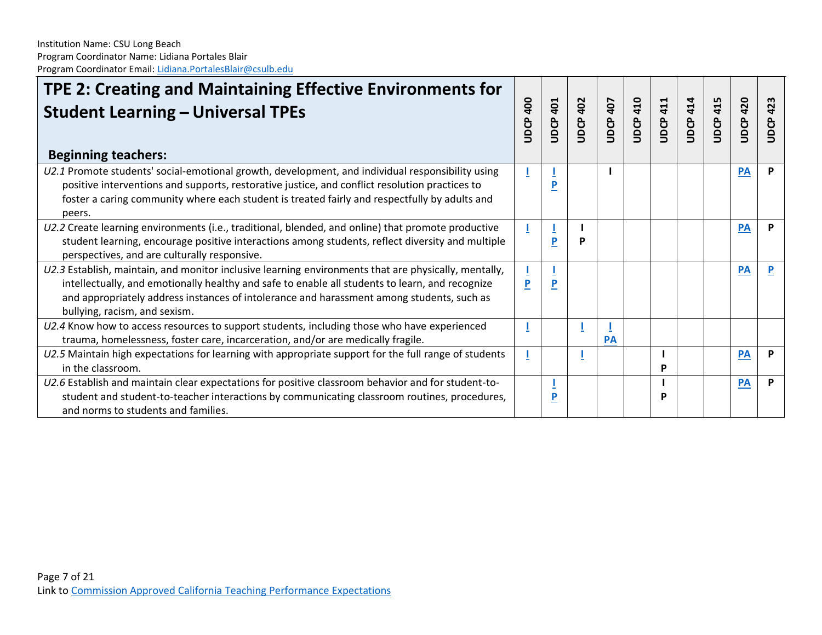| TPE 2: Creating and Maintaining Effective Environments for<br><b>Student Learning - Universal TPEs</b><br><b>Beginning teachers:</b>                                                                                                                                                                                                  | <b>400</b><br>UDCP | <b>JDCP 401</b> | <b>JDCP 402</b> | <b>JDCP 407</b> | <b>JDCP 410</b> | <b>UDCP 411</b> | <b>UDCP 414</b> | <b>UDCP 415</b> | 420<br><b>UDCP</b> | 423<br>UDCP |
|---------------------------------------------------------------------------------------------------------------------------------------------------------------------------------------------------------------------------------------------------------------------------------------------------------------------------------------|--------------------|-----------------|-----------------|-----------------|-----------------|-----------------|-----------------|-----------------|--------------------|-------------|
| U2.1 Promote students' social-emotional growth, development, and individual responsibility using                                                                                                                                                                                                                                      |                    |                 |                 |                 |                 |                 |                 |                 | PA                 | P           |
| positive interventions and supports, restorative justice, and conflict resolution practices to<br>foster a caring community where each student is treated fairly and respectfully by adults and<br>peers.                                                                                                                             |                    | P               |                 |                 |                 |                 |                 |                 |                    |             |
| U2.2 Create learning environments (i.e., traditional, blended, and online) that promote productive<br>student learning, encourage positive interactions among students, reflect diversity and multiple<br>perspectives, and are culturally responsive.                                                                                |                    | P               | P               |                 |                 |                 |                 |                 | PA                 | P           |
| U2.3 Establish, maintain, and monitor inclusive learning environments that are physically, mentally,<br>intellectually, and emotionally healthy and safe to enable all students to learn, and recognize<br>and appropriately address instances of intolerance and harassment among students, such as<br>bullying, racism, and sexism. | P                  | $\overline{P}$  |                 |                 |                 |                 |                 |                 | PA                 |             |
| U2.4 Know how to access resources to support students, including those who have experienced<br>trauma, homelessness, foster care, incarceration, and/or are medically fragile.                                                                                                                                                        |                    |                 |                 | <b>PA</b>       |                 |                 |                 |                 |                    |             |
| U2.5 Maintain high expectations for learning with appropriate support for the full range of students<br>in the classroom.                                                                                                                                                                                                             |                    |                 |                 |                 |                 | P               |                 |                 | <b>PA</b>          | P           |
| U2.6 Establish and maintain clear expectations for positive classroom behavior and for student-to-<br>student and student-to-teacher interactions by communicating classroom routines, procedures,<br>and norms to students and families.                                                                                             |                    | P               |                 |                 |                 | P               |                 |                 | PA                 | P           |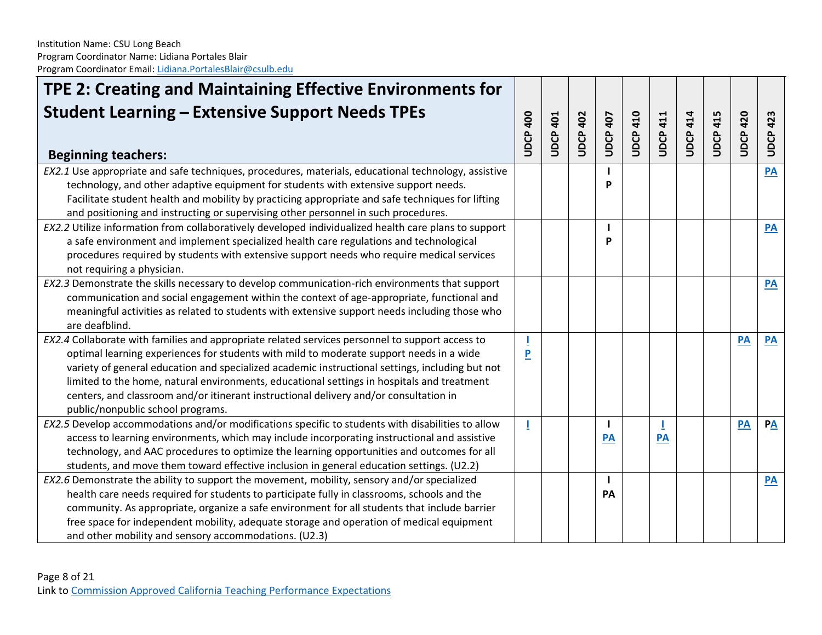| <b>Student Learning - Extensive Support Needs TPEs</b><br><b>UDCP 400</b><br><b>UDCP 410</b><br><b>UDCP 414</b><br><b>UDCP 402</b><br><b>JDCP 407</b><br><b>UDCP 415</b><br><b>UDCP 420</b><br><b>UDCP 401</b><br><b>JDCP 411</b><br>423<br>UDCP-<br><b>Beginning teachers:</b><br>EX2.1 Use appropriate and safe techniques, procedures, materials, educational technology, assistive<br>$\overline{PA}$<br>technology, and other adaptive equipment for students with extensive support needs.<br>P<br>Facilitate student health and mobility by practicing appropriate and safe techniques for lifting<br>and positioning and instructing or supervising other personnel in such procedures.<br>EX2.2 Utilize information from collaboratively developed individualized health care plans to support<br>PA<br>a safe environment and implement specialized health care regulations and technological<br>P<br>procedures required by students with extensive support needs who require medical services<br>not requiring a physician.<br>EX2.3 Demonstrate the skills necessary to develop communication-rich environments that support<br>PA<br>communication and social engagement within the context of age-appropriate, functional and<br>meaningful activities as related to students with extensive support needs including those who<br>are deafblind.<br>EX2.4 Collaborate with families and appropriate related services personnel to support access to<br>PA<br><b>PA</b><br>optimal learning experiences for students with mild to moderate support needs in a wide<br>P<br>variety of general education and specialized academic instructional settings, including but not<br>limited to the home, natural environments, educational settings in hospitals and treatment<br>centers, and classroom and/or itinerant instructional delivery and/or consultation in<br>public/nonpublic school programs.<br>EX2.5 Develop accommodations and/or modifications specific to students with disabilities to allow<br>PA<br>$P\underline{A}$<br>T<br>ı<br>access to learning environments, which may include incorporating instructional and assistive<br>PA<br><b>PA</b><br>technology, and AAC procedures to optimize the learning opportunities and outcomes for all | TPE 2: Creating and Maintaining Effective Environments for |  |  |  |  |  |
|--------------------------------------------------------------------------------------------------------------------------------------------------------------------------------------------------------------------------------------------------------------------------------------------------------------------------------------------------------------------------------------------------------------------------------------------------------------------------------------------------------------------------------------------------------------------------------------------------------------------------------------------------------------------------------------------------------------------------------------------------------------------------------------------------------------------------------------------------------------------------------------------------------------------------------------------------------------------------------------------------------------------------------------------------------------------------------------------------------------------------------------------------------------------------------------------------------------------------------------------------------------------------------------------------------------------------------------------------------------------------------------------------------------------------------------------------------------------------------------------------------------------------------------------------------------------------------------------------------------------------------------------------------------------------------------------------------------------------------------------------------------------------------------------------------------------------------------------------------------------------------------------------------------------------------------------------------------------------------------------------------------------------------------------------------------------------------------------------------------------------------------------------------------------------------------------------------------------------------------------------------------------------------|------------------------------------------------------------|--|--|--|--|--|
|                                                                                                                                                                                                                                                                                                                                                                                                                                                                                                                                                                                                                                                                                                                                                                                                                                                                                                                                                                                                                                                                                                                                                                                                                                                                                                                                                                                                                                                                                                                                                                                                                                                                                                                                                                                                                                                                                                                                                                                                                                                                                                                                                                                                                                                                                |                                                            |  |  |  |  |  |
|                                                                                                                                                                                                                                                                                                                                                                                                                                                                                                                                                                                                                                                                                                                                                                                                                                                                                                                                                                                                                                                                                                                                                                                                                                                                                                                                                                                                                                                                                                                                                                                                                                                                                                                                                                                                                                                                                                                                                                                                                                                                                                                                                                                                                                                                                |                                                            |  |  |  |  |  |
|                                                                                                                                                                                                                                                                                                                                                                                                                                                                                                                                                                                                                                                                                                                                                                                                                                                                                                                                                                                                                                                                                                                                                                                                                                                                                                                                                                                                                                                                                                                                                                                                                                                                                                                                                                                                                                                                                                                                                                                                                                                                                                                                                                                                                                                                                |                                                            |  |  |  |  |  |
|                                                                                                                                                                                                                                                                                                                                                                                                                                                                                                                                                                                                                                                                                                                                                                                                                                                                                                                                                                                                                                                                                                                                                                                                                                                                                                                                                                                                                                                                                                                                                                                                                                                                                                                                                                                                                                                                                                                                                                                                                                                                                                                                                                                                                                                                                |                                                            |  |  |  |  |  |
|                                                                                                                                                                                                                                                                                                                                                                                                                                                                                                                                                                                                                                                                                                                                                                                                                                                                                                                                                                                                                                                                                                                                                                                                                                                                                                                                                                                                                                                                                                                                                                                                                                                                                                                                                                                                                                                                                                                                                                                                                                                                                                                                                                                                                                                                                |                                                            |  |  |  |  |  |
|                                                                                                                                                                                                                                                                                                                                                                                                                                                                                                                                                                                                                                                                                                                                                                                                                                                                                                                                                                                                                                                                                                                                                                                                                                                                                                                                                                                                                                                                                                                                                                                                                                                                                                                                                                                                                                                                                                                                                                                                                                                                                                                                                                                                                                                                                |                                                            |  |  |  |  |  |
|                                                                                                                                                                                                                                                                                                                                                                                                                                                                                                                                                                                                                                                                                                                                                                                                                                                                                                                                                                                                                                                                                                                                                                                                                                                                                                                                                                                                                                                                                                                                                                                                                                                                                                                                                                                                                                                                                                                                                                                                                                                                                                                                                                                                                                                                                |                                                            |  |  |  |  |  |
|                                                                                                                                                                                                                                                                                                                                                                                                                                                                                                                                                                                                                                                                                                                                                                                                                                                                                                                                                                                                                                                                                                                                                                                                                                                                                                                                                                                                                                                                                                                                                                                                                                                                                                                                                                                                                                                                                                                                                                                                                                                                                                                                                                                                                                                                                |                                                            |  |  |  |  |  |
|                                                                                                                                                                                                                                                                                                                                                                                                                                                                                                                                                                                                                                                                                                                                                                                                                                                                                                                                                                                                                                                                                                                                                                                                                                                                                                                                                                                                                                                                                                                                                                                                                                                                                                                                                                                                                                                                                                                                                                                                                                                                                                                                                                                                                                                                                |                                                            |  |  |  |  |  |
|                                                                                                                                                                                                                                                                                                                                                                                                                                                                                                                                                                                                                                                                                                                                                                                                                                                                                                                                                                                                                                                                                                                                                                                                                                                                                                                                                                                                                                                                                                                                                                                                                                                                                                                                                                                                                                                                                                                                                                                                                                                                                                                                                                                                                                                                                |                                                            |  |  |  |  |  |
|                                                                                                                                                                                                                                                                                                                                                                                                                                                                                                                                                                                                                                                                                                                                                                                                                                                                                                                                                                                                                                                                                                                                                                                                                                                                                                                                                                                                                                                                                                                                                                                                                                                                                                                                                                                                                                                                                                                                                                                                                                                                                                                                                                                                                                                                                |                                                            |  |  |  |  |  |
|                                                                                                                                                                                                                                                                                                                                                                                                                                                                                                                                                                                                                                                                                                                                                                                                                                                                                                                                                                                                                                                                                                                                                                                                                                                                                                                                                                                                                                                                                                                                                                                                                                                                                                                                                                                                                                                                                                                                                                                                                                                                                                                                                                                                                                                                                |                                                            |  |  |  |  |  |
|                                                                                                                                                                                                                                                                                                                                                                                                                                                                                                                                                                                                                                                                                                                                                                                                                                                                                                                                                                                                                                                                                                                                                                                                                                                                                                                                                                                                                                                                                                                                                                                                                                                                                                                                                                                                                                                                                                                                                                                                                                                                                                                                                                                                                                                                                |                                                            |  |  |  |  |  |
|                                                                                                                                                                                                                                                                                                                                                                                                                                                                                                                                                                                                                                                                                                                                                                                                                                                                                                                                                                                                                                                                                                                                                                                                                                                                                                                                                                                                                                                                                                                                                                                                                                                                                                                                                                                                                                                                                                                                                                                                                                                                                                                                                                                                                                                                                |                                                            |  |  |  |  |  |
|                                                                                                                                                                                                                                                                                                                                                                                                                                                                                                                                                                                                                                                                                                                                                                                                                                                                                                                                                                                                                                                                                                                                                                                                                                                                                                                                                                                                                                                                                                                                                                                                                                                                                                                                                                                                                                                                                                                                                                                                                                                                                                                                                                                                                                                                                |                                                            |  |  |  |  |  |
|                                                                                                                                                                                                                                                                                                                                                                                                                                                                                                                                                                                                                                                                                                                                                                                                                                                                                                                                                                                                                                                                                                                                                                                                                                                                                                                                                                                                                                                                                                                                                                                                                                                                                                                                                                                                                                                                                                                                                                                                                                                                                                                                                                                                                                                                                |                                                            |  |  |  |  |  |
|                                                                                                                                                                                                                                                                                                                                                                                                                                                                                                                                                                                                                                                                                                                                                                                                                                                                                                                                                                                                                                                                                                                                                                                                                                                                                                                                                                                                                                                                                                                                                                                                                                                                                                                                                                                                                                                                                                                                                                                                                                                                                                                                                                                                                                                                                |                                                            |  |  |  |  |  |
|                                                                                                                                                                                                                                                                                                                                                                                                                                                                                                                                                                                                                                                                                                                                                                                                                                                                                                                                                                                                                                                                                                                                                                                                                                                                                                                                                                                                                                                                                                                                                                                                                                                                                                                                                                                                                                                                                                                                                                                                                                                                                                                                                                                                                                                                                |                                                            |  |  |  |  |  |
|                                                                                                                                                                                                                                                                                                                                                                                                                                                                                                                                                                                                                                                                                                                                                                                                                                                                                                                                                                                                                                                                                                                                                                                                                                                                                                                                                                                                                                                                                                                                                                                                                                                                                                                                                                                                                                                                                                                                                                                                                                                                                                                                                                                                                                                                                |                                                            |  |  |  |  |  |
|                                                                                                                                                                                                                                                                                                                                                                                                                                                                                                                                                                                                                                                                                                                                                                                                                                                                                                                                                                                                                                                                                                                                                                                                                                                                                                                                                                                                                                                                                                                                                                                                                                                                                                                                                                                                                                                                                                                                                                                                                                                                                                                                                                                                                                                                                |                                                            |  |  |  |  |  |
|                                                                                                                                                                                                                                                                                                                                                                                                                                                                                                                                                                                                                                                                                                                                                                                                                                                                                                                                                                                                                                                                                                                                                                                                                                                                                                                                                                                                                                                                                                                                                                                                                                                                                                                                                                                                                                                                                                                                                                                                                                                                                                                                                                                                                                                                                |                                                            |  |  |  |  |  |
| students, and move them toward effective inclusion in general education settings. (U2.2)                                                                                                                                                                                                                                                                                                                                                                                                                                                                                                                                                                                                                                                                                                                                                                                                                                                                                                                                                                                                                                                                                                                                                                                                                                                                                                                                                                                                                                                                                                                                                                                                                                                                                                                                                                                                                                                                                                                                                                                                                                                                                                                                                                                       |                                                            |  |  |  |  |  |
| EX2.6 Demonstrate the ability to support the movement, mobility, sensory and/or specialized<br>$\overline{PA}$                                                                                                                                                                                                                                                                                                                                                                                                                                                                                                                                                                                                                                                                                                                                                                                                                                                                                                                                                                                                                                                                                                                                                                                                                                                                                                                                                                                                                                                                                                                                                                                                                                                                                                                                                                                                                                                                                                                                                                                                                                                                                                                                                                 |                                                            |  |  |  |  |  |
| health care needs required for students to participate fully in classrooms, schools and the<br>PA<br>community. As appropriate, organize a safe environment for all students that include barrier                                                                                                                                                                                                                                                                                                                                                                                                                                                                                                                                                                                                                                                                                                                                                                                                                                                                                                                                                                                                                                                                                                                                                                                                                                                                                                                                                                                                                                                                                                                                                                                                                                                                                                                                                                                                                                                                                                                                                                                                                                                                              |                                                            |  |  |  |  |  |
| free space for independent mobility, adequate storage and operation of medical equipment                                                                                                                                                                                                                                                                                                                                                                                                                                                                                                                                                                                                                                                                                                                                                                                                                                                                                                                                                                                                                                                                                                                                                                                                                                                                                                                                                                                                                                                                                                                                                                                                                                                                                                                                                                                                                                                                                                                                                                                                                                                                                                                                                                                       |                                                            |  |  |  |  |  |
| and other mobility and sensory accommodations. (U2.3)                                                                                                                                                                                                                                                                                                                                                                                                                                                                                                                                                                                                                                                                                                                                                                                                                                                                                                                                                                                                                                                                                                                                                                                                                                                                                                                                                                                                                                                                                                                                                                                                                                                                                                                                                                                                                                                                                                                                                                                                                                                                                                                                                                                                                          |                                                            |  |  |  |  |  |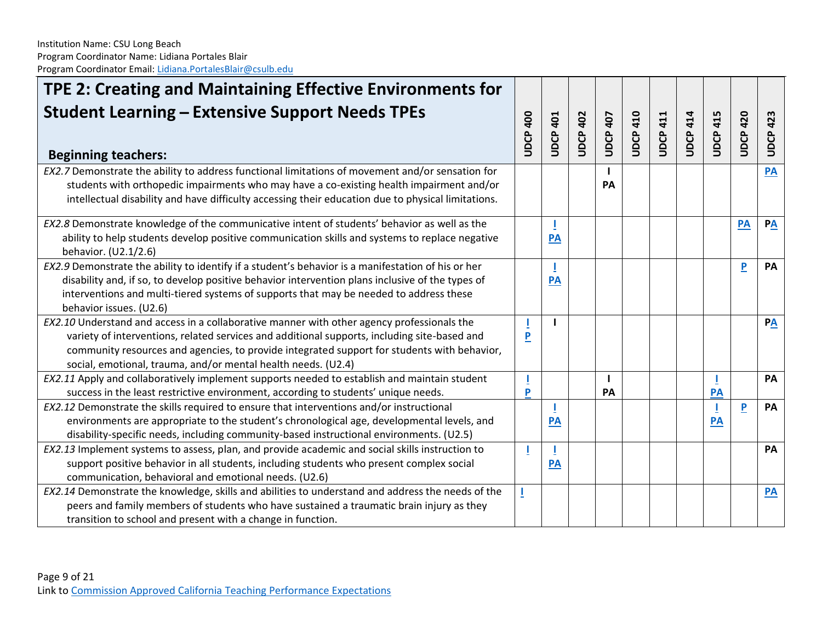| TPE 2: Creating and Maintaining Effective Environments for                                                                                                                                                                                                                                                                                                 |                 |              |                 |                 |                 |                 |                 |                 |               |                  |
|------------------------------------------------------------------------------------------------------------------------------------------------------------------------------------------------------------------------------------------------------------------------------------------------------------------------------------------------------------|-----------------|--------------|-----------------|-----------------|-----------------|-----------------|-----------------|-----------------|---------------|------------------|
| <b>Student Learning - Extensive Support Needs TPEs</b><br><b>Beginning teachers:</b>                                                                                                                                                                                                                                                                       | <b>UDCP 400</b> | 401<br>UDCP. | <b>UDCP 402</b> | <b>UDCP 407</b> | <b>UDCP 410</b> | <b>JDCP 411</b> | <b>UDCP 414</b> | <b>UDCP 415</b> | 420<br>UDCP   | <b>UDCP 423</b>  |
| EX2.7 Demonstrate the ability to address functional limitations of movement and/or sensation for<br>students with orthopedic impairments who may have a co-existing health impairment and/or<br>intellectual disability and have difficulty accessing their education due to physical limitations.                                                         |                 |              |                 | PA              |                 |                 |                 |                 |               | PA               |
| EX2.8 Demonstrate knowledge of the communicative intent of students' behavior as well as the<br>ability to help students develop positive communication skills and systems to replace negative<br>behavior. (U2.1/2.6)                                                                                                                                     |                 | PA           |                 |                 |                 |                 |                 |                 | $\mathbf{PA}$ | $P\underline{A}$ |
| EX2.9 Demonstrate the ability to identify if a student's behavior is a manifestation of his or her<br>disability and, if so, to develop positive behavior intervention plans inclusive of the types of<br>interventions and multi-tiered systems of supports that may be needed to address these<br>behavior issues. (U2.6)                                |                 | PA           |                 |                 |                 |                 |                 |                 | P             | PA               |
| EX2.10 Understand and access in a collaborative manner with other agency professionals the<br>variety of interventions, related services and additional supports, including site-based and<br>community resources and agencies, to provide integrated support for students with behavior,<br>social, emotional, trauma, and/or mental health needs. (U2.4) | $\overline{P}$  |              |                 |                 |                 |                 |                 |                 |               | $P\underline{A}$ |
| EX2.11 Apply and collaboratively implement supports needed to establish and maintain student<br>success in the least restrictive environment, according to students' unique needs.                                                                                                                                                                         | P               |              |                 | PA              |                 |                 |                 | <b>PA</b>       |               | PA               |
| EX2.12 Demonstrate the skills required to ensure that interventions and/or instructional<br>environments are appropriate to the student's chronological age, developmental levels, and<br>disability-specific needs, including community-based instructional environments. (U2.5)                                                                          |                 | PA           |                 |                 |                 |                 |                 | PA              | P             | PA               |
| EX2.13 Implement systems to assess, plan, and provide academic and social skills instruction to<br>support positive behavior in all students, including students who present complex social<br>communication, behavioral and emotional needs. (U2.6)                                                                                                       |                 | PA           |                 |                 |                 |                 |                 |                 |               | PA               |
| EX2.14 Demonstrate the knowledge, skills and abilities to understand and address the needs of the<br>peers and family members of students who have sustained a traumatic brain injury as they<br>transition to school and present with a change in function.                                                                                               |                 |              |                 |                 |                 |                 |                 |                 |               | $\overline{PA}$  |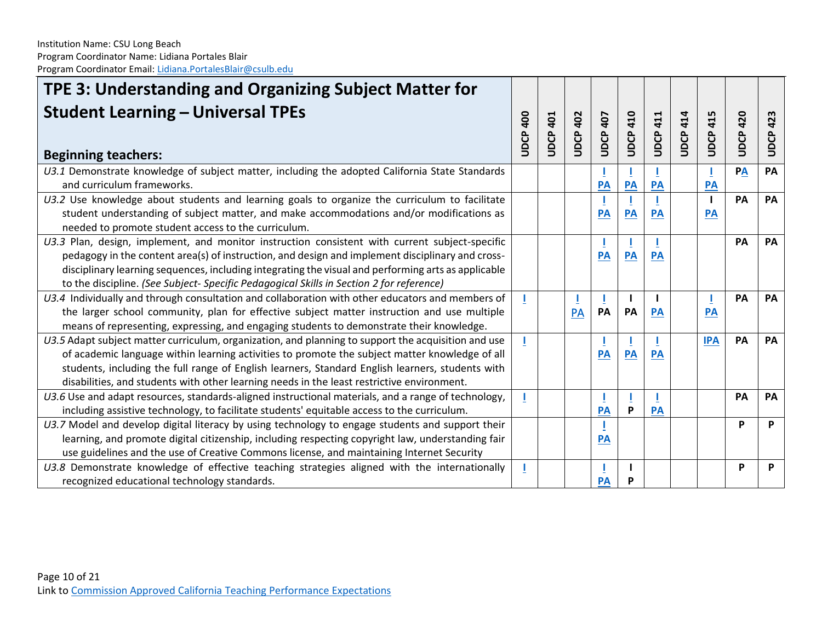| TPE 3: Understanding and Organizing Subject Matter for                                                                                                                                                                                                                                                                                                                                                  |                   |                 |                 |                 |                 |                 |             |                 |             |                 |
|---------------------------------------------------------------------------------------------------------------------------------------------------------------------------------------------------------------------------------------------------------------------------------------------------------------------------------------------------------------------------------------------------------|-------------------|-----------------|-----------------|-----------------|-----------------|-----------------|-------------|-----------------|-------------|-----------------|
| <b>Student Learning - Universal TPEs</b><br><b>Beginning teachers:</b>                                                                                                                                                                                                                                                                                                                                  | <b>00</b><br>UDCP | <b>UDCP 401</b> | <b>UDCP 402</b> | 407<br>UDCP.    | <b>UDCP 410</b> | <b>UDCP 411</b> | 414<br>UDCP | <b>UDCP 415</b> | 420<br>UDCP | <b>UDCP 423</b> |
| U3.1 Demonstrate knowledge of subject matter, including the adopted California State Standards<br>and curriculum frameworks.                                                                                                                                                                                                                                                                            |                   |                 |                 | PA              | PA              | PA              |             | PA              | PA          | PA              |
| U3.2 Use knowledge about students and learning goals to organize the curriculum to facilitate<br>student understanding of subject matter, and make accommodations and/or modifications as<br>needed to promote student access to the curriculum.                                                                                                                                                        |                   |                 |                 | PA              | PA              | PA              |             | PA              | PA          | PA              |
| U3.3 Plan, design, implement, and monitor instruction consistent with current subject-specific<br>pedagogy in the content area(s) of instruction, and design and implement disciplinary and cross-<br>disciplinary learning sequences, including integrating the visual and performing arts as applicable<br>to the discipline. (See Subject-Specific Pedagogical Skills in Section 2 for reference)    |                   |                 |                 | $\overline{PA}$ | PA              | <b>PA</b>       |             |                 | PA          | <b>PA</b>       |
| U3.4 Individually and through consultation and collaboration with other educators and members of<br>the larger school community, plan for effective subject matter instruction and use multiple<br>means of representing, expressing, and engaging students to demonstrate their knowledge.                                                                                                             |                   |                 | PA              | PA              | -1<br>PA        | <b>PA</b>       |             | <b>PA</b>       | PA          | <b>PA</b>       |
| U3.5 Adapt subject matter curriculum, organization, and planning to support the acquisition and use<br>of academic language within learning activities to promote the subject matter knowledge of all<br>students, including the full range of English learners, Standard English learners, students with<br>disabilities, and students with other learning needs in the least restrictive environment. |                   |                 |                 | PA              | PA              | PA              |             | <b>IPA</b>      | PA          | <b>PA</b>       |
| U3.6 Use and adapt resources, standards-aligned instructional materials, and a range of technology,<br>including assistive technology, to facilitate students' equitable access to the curriculum.                                                                                                                                                                                                      |                   |                 |                 | PA              | Щ<br>P          | PA              |             |                 | PA          | PA              |
| U3.7 Model and develop digital literacy by using technology to engage students and support their<br>learning, and promote digital citizenship, including respecting copyright law, understanding fair<br>use guidelines and the use of Creative Commons license, and maintaining Internet Security                                                                                                      |                   |                 |                 | <b>PA</b>       |                 |                 |             |                 | P           | P               |
| U3.8 Demonstrate knowledge of effective teaching strategies aligned with the internationally<br>recognized educational technology standards.                                                                                                                                                                                                                                                            |                   |                 |                 | PA              | P               |                 |             |                 | P           | P               |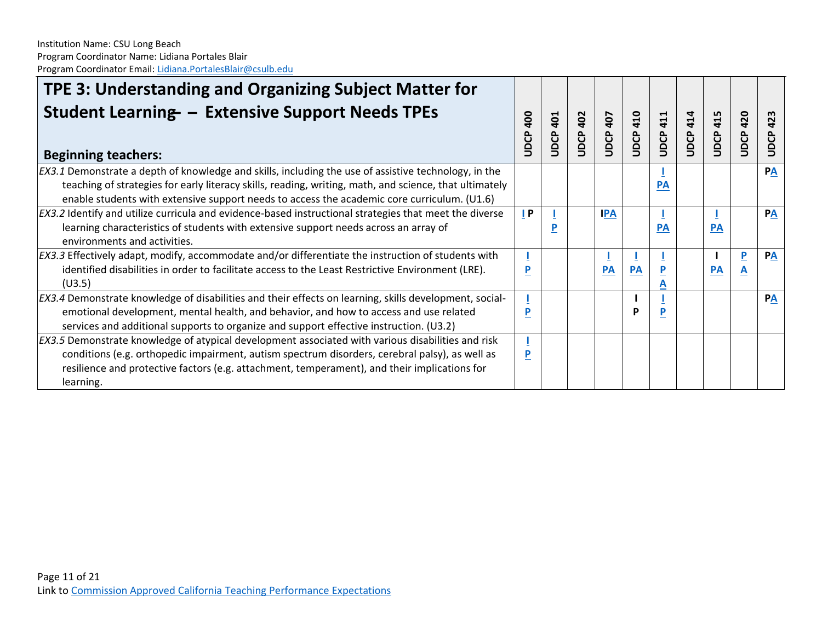| TPE 3: Understanding and Organizing Subject Matter for<br><b>Student Learning - Extensive Support Needs TPEs</b><br><b>Beginning teachers:</b>                                                        | 400<br>UDCP | 401<br>UDCP | JDCP 402 | 407<br>UDCP | 410<br>UDCP | 411<br>UDCP. | <b>JDCP 414</b> | 415<br>UDCP. | 420<br>UDCP | 423<br>UDCP |
|-------------------------------------------------------------------------------------------------------------------------------------------------------------------------------------------------------|-------------|-------------|----------|-------------|-------------|--------------|-----------------|--------------|-------------|-------------|
| EX3.1 Demonstrate a depth of knowledge and skills, including the use of assistive technology, in the                                                                                                  |             |             |          |             |             |              |                 |              |             | PA          |
| teaching of strategies for early literacy skills, reading, writing, math, and science, that ultimately<br>enable students with extensive support needs to access the academic core curriculum. (U1.6) |             |             |          |             |             | PA           |                 |              |             |             |
| EX3.2 Identify and utilize curricula and evidence-based instructional strategies that meet the diverse                                                                                                | P           |             |          | <b>IPA</b>  |             |              |                 |              |             | PA          |
| learning characteristics of students with extensive support needs across an array of                                                                                                                  |             | P           |          |             |             | PA           |                 | <b>PA</b>    |             |             |
| environments and activities.                                                                                                                                                                          |             |             |          |             |             |              |                 |              |             |             |
| EX3.3 Effectively adapt, modify, accommodate and/or differentiate the instruction of students with                                                                                                    |             |             |          |             |             |              |                 |              | P           | PA          |
| identified disabilities in order to facilitate access to the Least Restrictive Environment (LRE).                                                                                                     |             |             |          | <b>PA</b>   | PA          | $\mathbf{P}$ |                 | <b>PA</b>    | A           |             |
| (U3.5)                                                                                                                                                                                                |             |             |          |             |             |              |                 |              |             |             |
| EX3.4 Demonstrate knowledge of disabilities and their effects on learning, skills development, social-                                                                                                |             |             |          |             |             |              |                 |              |             | PA          |
| emotional development, mental health, and behavior, and how to access and use related                                                                                                                 | D           |             |          |             |             | P            |                 |              |             |             |
| services and additional supports to organize and support effective instruction. (U3.2)                                                                                                                |             |             |          |             |             |              |                 |              |             |             |
| EX3.5 Demonstrate knowledge of atypical development associated with various disabilities and risk                                                                                                     |             |             |          |             |             |              |                 |              |             |             |
| conditions (e.g. orthopedic impairment, autism spectrum disorders, cerebral palsy), as well as                                                                                                        | P           |             |          |             |             |              |                 |              |             |             |
| resilience and protective factors (e.g. attachment, temperament), and their implications for                                                                                                          |             |             |          |             |             |              |                 |              |             |             |
| learning.                                                                                                                                                                                             |             |             |          |             |             |              |                 |              |             |             |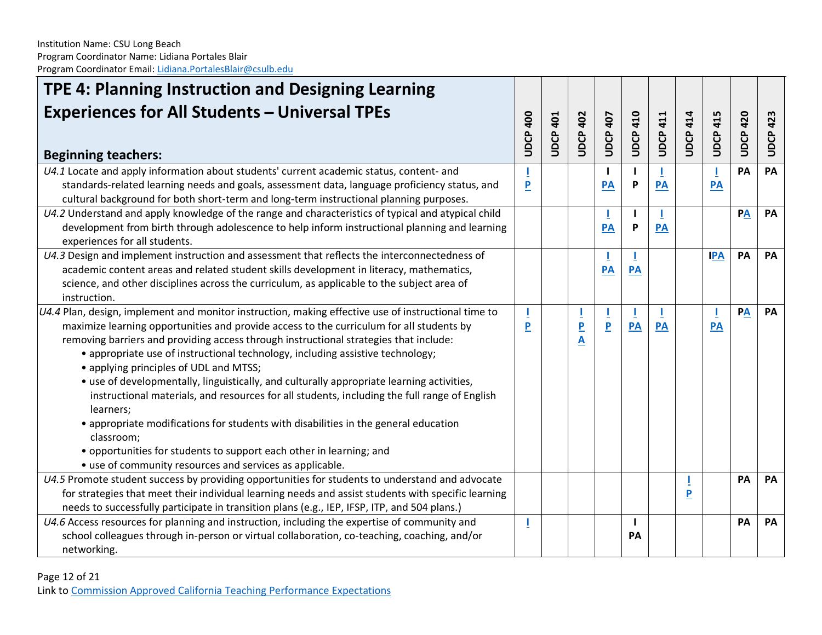| TPE 4: Planning Instruction and Designing Learning                                                    |                         |                 |                         |                    |                 |                 |                 |                 |                    |                 |
|-------------------------------------------------------------------------------------------------------|-------------------------|-----------------|-------------------------|--------------------|-----------------|-----------------|-----------------|-----------------|--------------------|-----------------|
| <b>Experiences for All Students - Universal TPEs</b><br><b>Beginning teachers:</b>                    |                         | <b>UDCP 401</b> | <b>UDCP 402</b>         | <b>UDCP 407</b>    | <b>UDCP 410</b> | <b>UDCP 411</b> | <b>UDCP 414</b> | <b>UDCP 415</b> | 420<br><b>UDCP</b> | <b>UDCP 423</b> |
| U4.1 Locate and apply information about students' current academic status, content- and               |                         |                 |                         | $\mathbf{I}$       |                 |                 |                 |                 | PA                 | PA              |
| standards-related learning needs and goals, assessment data, language proficiency status, and         | $\overline{\mathbf{P}}$ |                 |                         | <b>PA</b>          | P               | <b>PA</b>       |                 | PA              |                    |                 |
| cultural background for both short-term and long-term instructional planning purposes.                |                         |                 |                         |                    |                 |                 |                 |                 |                    |                 |
| U4.2 Understand and apply knowledge of the range and characteristics of typical and atypical child    |                         |                 |                         | J.                 |                 |                 |                 |                 | PA                 | PA              |
| development from birth through adolescence to help inform instructional planning and learning         |                         |                 |                         | PA                 | P               | PA              |                 |                 |                    |                 |
| experiences for all students.                                                                         |                         |                 |                         |                    |                 |                 |                 |                 |                    |                 |
| U4.3 Design and implement instruction and assessment that reflects the interconnectedness of          |                         |                 |                         |                    |                 |                 |                 | <b>IPA</b>      | PA                 | PA              |
| academic content areas and related student skills development in literacy, mathematics,               |                         |                 |                         | PA                 | PA              |                 |                 |                 |                    |                 |
| science, and other disciplines across the curriculum, as applicable to the subject area of            |                         |                 |                         |                    |                 |                 |                 |                 |                    |                 |
| instruction.                                                                                          |                         |                 |                         |                    |                 |                 |                 |                 |                    |                 |
| $U4.4$ Plan, design, implement and monitor instruction, making effective use of instructional time to |                         |                 |                         | T                  |                 |                 |                 |                 | PA                 | PA              |
| maximize learning opportunities and provide access to the curriculum for all students by              | P                       |                 | $\overline{P}$          | $\pmb{\mathsf{P}}$ | PA              | PA              |                 | PA              |                    |                 |
| removing barriers and providing access through instructional strategies that include:                 |                         |                 | $\overline{\mathsf{A}}$ |                    |                 |                 |                 |                 |                    |                 |
| • appropriate use of instructional technology, including assistive technology;                        |                         |                 |                         |                    |                 |                 |                 |                 |                    |                 |
| • applying principles of UDL and MTSS;                                                                |                         |                 |                         |                    |                 |                 |                 |                 |                    |                 |
| • use of developmentally, linguistically, and culturally appropriate learning activities,             |                         |                 |                         |                    |                 |                 |                 |                 |                    |                 |
| instructional materials, and resources for all students, including the full range of English          |                         |                 |                         |                    |                 |                 |                 |                 |                    |                 |
| learners;                                                                                             |                         |                 |                         |                    |                 |                 |                 |                 |                    |                 |
| • appropriate modifications for students with disabilities in the general education                   |                         |                 |                         |                    |                 |                 |                 |                 |                    |                 |
| classroom;                                                                                            |                         |                 |                         |                    |                 |                 |                 |                 |                    |                 |
| • opportunities for students to support each other in learning; and                                   |                         |                 |                         |                    |                 |                 |                 |                 |                    |                 |
| • use of community resources and services as applicable.                                              |                         |                 |                         |                    |                 |                 |                 |                 |                    |                 |
| U4.5 Promote student success by providing opportunities for students to understand and advocate       |                         |                 |                         |                    |                 |                 |                 |                 | PA                 | PA              |
| for strategies that meet their individual learning needs and assist students with specific learning   |                         |                 |                         |                    |                 |                 | P               |                 |                    |                 |
| needs to successfully participate in transition plans (e.g., IEP, IFSP, ITP, and 504 plans.)          |                         |                 |                         |                    |                 |                 |                 |                 |                    |                 |
| U4.6 Access resources for planning and instruction, including the expertise of community and          |                         |                 |                         |                    | H               |                 |                 |                 | PA                 | PA              |
| school colleagues through in-person or virtual collaboration, co-teaching, coaching, and/or           |                         |                 |                         |                    | PA              |                 |                 |                 |                    |                 |
| networking.                                                                                           |                         |                 |                         |                    |                 |                 |                 |                 |                    |                 |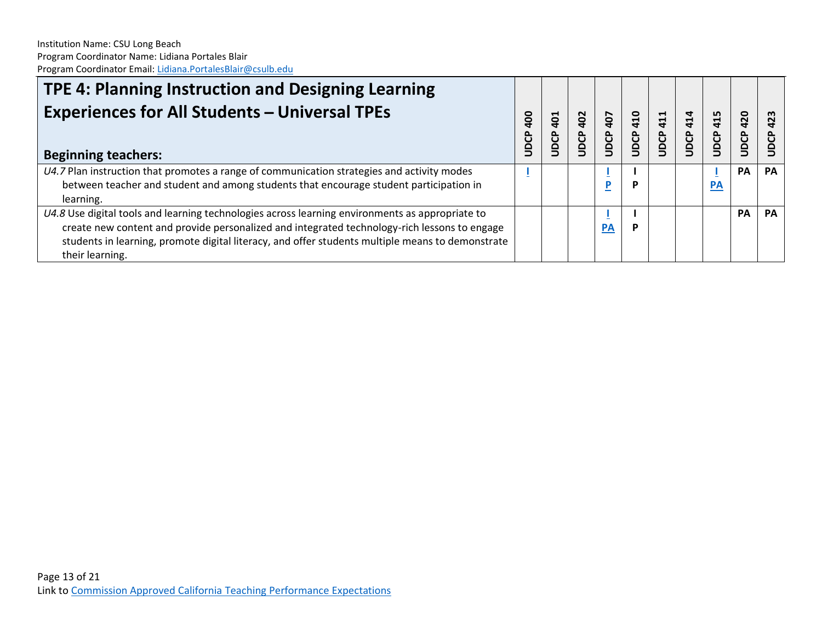| TPE 4: Planning Instruction and Designing Learning<br><b>Experiences for All Students - Universal TPEs</b><br><b>Beginning teachers:</b>                                                                                                                                                                               | go<br>UDCP | $\overline{1}$<br>JDCP | 402<br><b>SCP</b> | 407<br><b>JDCP</b> | <b>914</b><br>JDCP | 411<br><b>UDCP</b> | $\vec{a}$<br>UDCP | 415<br>UDCP      | 420<br>UDCP | 423       |
|------------------------------------------------------------------------------------------------------------------------------------------------------------------------------------------------------------------------------------------------------------------------------------------------------------------------|------------|------------------------|-------------------|--------------------|--------------------|--------------------|-------------------|------------------|-------------|-----------|
| $U4.7$ Plan instruction that promotes a range of communication strategies and activity modes<br>between teacher and student and among students that encourage student participation in<br>learning.                                                                                                                    |            |                        |                   | D                  | P                  |                    |                   | $\underline{PA}$ | <b>PA</b>   | <b>PA</b> |
| U4.8 Use digital tools and learning technologies across learning environments as appropriate to<br>create new content and provide personalized and integrated technology-rich lessons to engage<br>students in learning, promote digital literacy, and offer students multiple means to demonstrate<br>their learning. |            |                        |                   | <b>PA</b>          | Р                  |                    |                   |                  | <b>PA</b>   | PA        |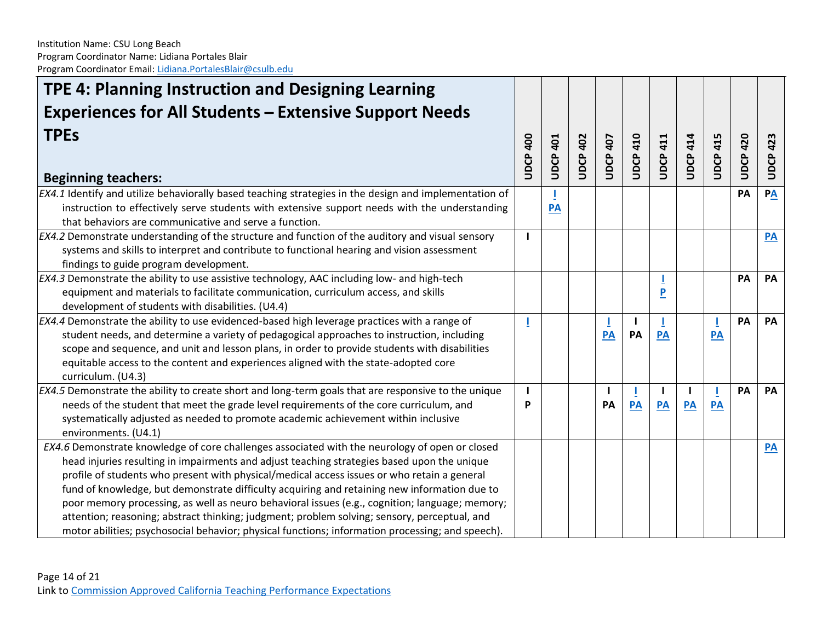| TPE 4: Planning Instruction and Designing Learning                                                                                                                                                                                                                                                                                                                                                                                                                                                                                                                                                                                                                                                 |                 |                 |                 |                 |                 |                                |                 |                 |                 |                 |
|----------------------------------------------------------------------------------------------------------------------------------------------------------------------------------------------------------------------------------------------------------------------------------------------------------------------------------------------------------------------------------------------------------------------------------------------------------------------------------------------------------------------------------------------------------------------------------------------------------------------------------------------------------------------------------------------------|-----------------|-----------------|-----------------|-----------------|-----------------|--------------------------------|-----------------|-----------------|-----------------|-----------------|
| <b>Experiences for All Students - Extensive Support Needs</b>                                                                                                                                                                                                                                                                                                                                                                                                                                                                                                                                                                                                                                      |                 |                 |                 |                 |                 |                                |                 |                 |                 |                 |
| <b>TPEs</b><br><b>Beginning teachers:</b>                                                                                                                                                                                                                                                                                                                                                                                                                                                                                                                                                                                                                                                          | <b>JDCP 400</b> | <b>UDCP 401</b> | <b>UDCP 402</b> | <b>JDCP 407</b> | <b>UDCP 410</b> | <b>JDCP 411</b>                | <b>UDCP 414</b> | <b>UDCP 415</b> | <b>UDCP 420</b> | <b>UDCP423</b>  |
| EX4.1 Identify and utilize behaviorally based teaching strategies in the design and implementation of<br>instruction to effectively serve students with extensive support needs with the understanding<br>that behaviors are communicative and serve a function.                                                                                                                                                                                                                                                                                                                                                                                                                                   |                 | PA              |                 |                 |                 |                                |                 |                 | PA              | PA              |
| $EX4.2$ Demonstrate understanding of the structure and function of the auditory and visual sensory<br>systems and skills to interpret and contribute to functional hearing and vision assessment<br>findings to guide program development.                                                                                                                                                                                                                                                                                                                                                                                                                                                         |                 |                 |                 |                 |                 |                                |                 |                 |                 | PA              |
| $EX4.3$ Demonstrate the ability to use assistive technology, AAC including low- and high-tech<br>equipment and materials to facilitate communication, curriculum access, and skills<br>development of students with disabilities. (U4.4)                                                                                                                                                                                                                                                                                                                                                                                                                                                           |                 |                 |                 |                 |                 | $\overline{P}$                 |                 |                 | PA              | PA              |
| EX4.4 Demonstrate the ability to use evidenced-based high leverage practices with a range of<br>student needs, and determine a variety of pedagogical approaches to instruction, including<br>scope and sequence, and unit and lesson plans, in order to provide students with disabilities<br>equitable access to the content and experiences aligned with the state-adopted core<br>curriculum. (U4.3)                                                                                                                                                                                                                                                                                           |                 |                 |                 | PA              | PA              | PA                             |                 | PA              | PA              | PA              |
| EX4.5 Demonstrate the ability to create short and long-term goals that are responsive to the unique<br>needs of the student that meet the grade level requirements of the core curriculum, and<br>systematically adjusted as needed to promote academic achievement within inclusive<br>environments. (U4.1)                                                                                                                                                                                                                                                                                                                                                                                       | P               |                 |                 | PA              | PA              | $\overline{\phantom{a}}$<br>PA | ı<br>PA         | PA              | PA              | PA              |
| EX4.6 Demonstrate knowledge of core challenges associated with the neurology of open or closed<br>head injuries resulting in impairments and adjust teaching strategies based upon the unique<br>profile of students who present with physical/medical access issues or who retain a general<br>fund of knowledge, but demonstrate difficulty acquiring and retaining new information due to<br>poor memory processing, as well as neuro behavioral issues (e.g., cognition; language; memory;<br>attention; reasoning; abstract thinking; judgment; problem solving; sensory, perceptual, and<br>motor abilities; psychosocial behavior; physical functions; information processing; and speech). |                 |                 |                 |                 |                 |                                |                 |                 |                 | $\overline{PA}$ |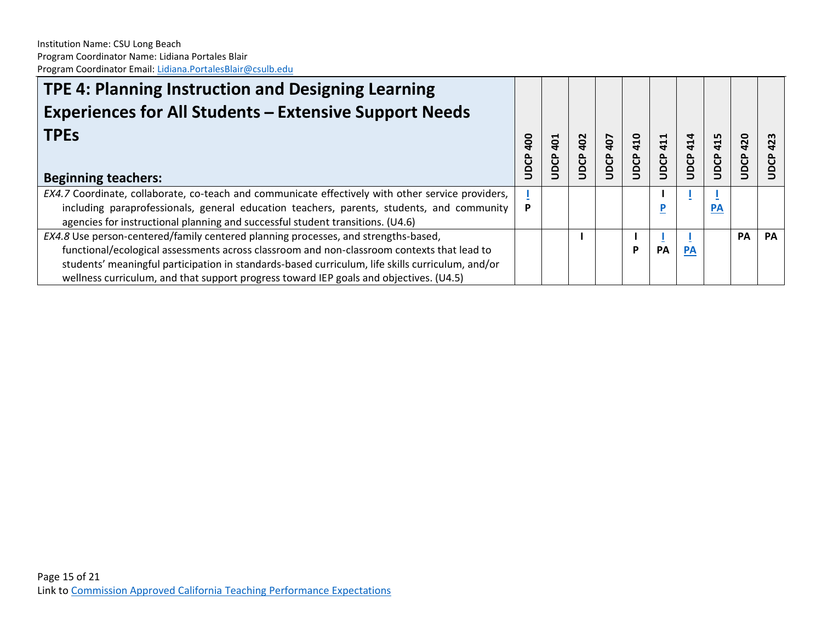| TPE 4: Planning Instruction and Designing Learning                                                |   |                        |             |             |                        |                    |             |             |             |           |
|---------------------------------------------------------------------------------------------------|---|------------------------|-------------|-------------|------------------------|--------------------|-------------|-------------|-------------|-----------|
| <b>Experiences for All Students - Extensive Support Needs</b>                                     |   |                        |             |             |                        |                    |             |             |             |           |
| <b>TPEs</b>                                                                                       |   | $\overline{a}$<br>UDCP | 402<br>UDCP | 407<br>UDCP | $\frac{10}{1}$<br>UDCP | 411<br><b>UDCP</b> | 414<br>UDCP | 415<br>UDCP | 420<br>UDCP |           |
| <b>Beginning teachers:</b>                                                                        |   |                        |             |             |                        |                    |             |             |             |           |
| EX4.7 Coordinate, collaborate, co-teach and communicate effectively with other service providers, |   |                        |             |             |                        |                    |             |             |             |           |
| including paraprofessionals, general education teachers, parents, students, and community         | P |                        |             |             |                        | D                  |             | <b>PA</b>   |             |           |
| agencies for instructional planning and successful student transitions. (U4.6)                    |   |                        |             |             |                        |                    |             |             |             |           |
| EX4.8 Use person-centered/family centered planning processes, and strengths-based,                |   |                        |             |             |                        |                    |             |             | PA          | <b>PA</b> |
| functional/ecological assessments across classroom and non-classroom contexts that lead to        |   |                        |             |             | P                      | PA                 | <b>PA</b>   |             |             |           |
| students' meaningful participation in standards-based curriculum, life skills curriculum, and/or  |   |                        |             |             |                        |                    |             |             |             |           |
| wellness curriculum, and that support progress toward IEP goals and objectives. (U4.5)            |   |                        |             |             |                        |                    |             |             |             |           |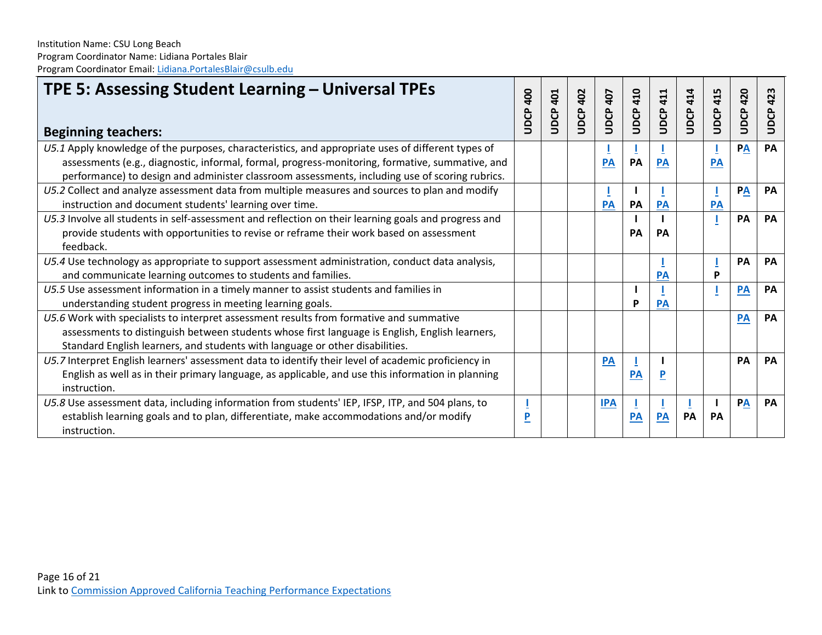| TPE 5: Assessing Student Learning - Universal TPEs<br><b>Beginning teachers:</b>                     |      | 401<br>UDCP | <b>UDCP 402</b> | <b>UDCP 407</b> | 410<br><b>SCD</b> | 411<br>UDCP. | <b>UDCP 414</b> | 415<br>UDCP | 420<br>UDCP | UDCP 423  |
|------------------------------------------------------------------------------------------------------|------|-------------|-----------------|-----------------|-------------------|--------------|-----------------|-------------|-------------|-----------|
|                                                                                                      | UDCP |             |                 |                 |                   |              |                 |             |             |           |
| U5.1 Apply knowledge of the purposes, characteristics, and appropriate uses of different types of    |      |             |                 |                 |                   |              |                 |             | PA          | PA        |
| assessments (e.g., diagnostic, informal, formal, progress-monitoring, formative, summative, and      |      |             |                 | <b>PA</b>       | <b>PA</b>         | <b>PA</b>    |                 | <b>PA</b>   |             |           |
| performance) to design and administer classroom assessments, including use of scoring rubrics.       |      |             |                 |                 |                   |              |                 |             |             |           |
| U5.2 Collect and analyze assessment data from multiple measures and sources to plan and modify       |      |             |                 |                 |                   |              |                 |             | PA          | <b>PA</b> |
| instruction and document students' learning over time.                                               |      |             |                 | PA              | PA                | <b>PA</b>    |                 | <b>PA</b>   |             |           |
| U5.3 Involve all students in self-assessment and reflection on their learning goals and progress and |      |             |                 |                 |                   |              |                 |             | PA          | PA        |
| provide students with opportunities to revise or reframe their work based on assessment              |      |             |                 |                 | PA                | PA           |                 |             |             |           |
| feedback.                                                                                            |      |             |                 |                 |                   |              |                 |             |             |           |
| U5.4 Use technology as appropriate to support assessment administration, conduct data analysis,      |      |             |                 |                 |                   |              |                 |             | PA          | PA        |
| and communicate learning outcomes to students and families.                                          |      |             |                 |                 |                   | <b>PA</b>    |                 | P           |             |           |
| U5.5 Use assessment information in a timely manner to assist students and families in                |      |             |                 |                 |                   |              |                 |             | PA          | PA        |
| understanding student progress in meeting learning goals.                                            |      |             |                 |                 | P                 | PA           |                 |             |             |           |
| U5.6 Work with specialists to interpret assessment results from formative and summative              |      |             |                 |                 |                   |              |                 |             | PA          | PA        |
| assessments to distinguish between students whose first language is English, English learners,       |      |             |                 |                 |                   |              |                 |             |             |           |
| Standard English learners, and students with language or other disabilities.                         |      |             |                 |                 |                   |              |                 |             |             |           |
| U5.7 Interpret English learners' assessment data to identify their level of academic proficiency in  |      |             |                 | PA              |                   |              |                 |             | PA          | PA        |
| English as well as in their primary language, as applicable, and use this information in planning    |      |             |                 |                 | <b>PA</b>         | <u>P</u>     |                 |             |             |           |
| instruction.                                                                                         |      |             |                 |                 |                   |              |                 |             |             |           |
| U5.8 Use assessment data, including information from students' IEP, IFSP, ITP, and 504 plans, to     |      |             |                 | <b>IPA</b>      |                   |              |                 |             | PA          | PA        |
| establish learning goals and to plan, differentiate, make accommodations and/or modify               | P    |             |                 |                 | <b>PA</b>         | <b>PA</b>    | PA              | <b>PA</b>   |             |           |
| instruction.                                                                                         |      |             |                 |                 |                   |              |                 |             |             |           |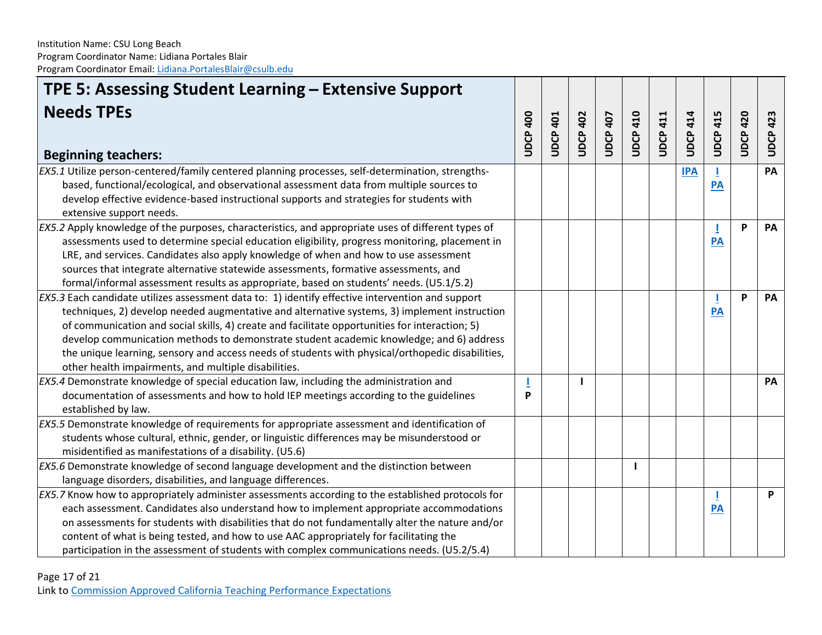| TPE 5: Assessing Student Learning – Extensive Support                                                                |                 |                 |                 |                 |                 |                 |                 |                 |             |                 |
|----------------------------------------------------------------------------------------------------------------------|-----------------|-----------------|-----------------|-----------------|-----------------|-----------------|-----------------|-----------------|-------------|-----------------|
| <b>Needs TPEs</b>                                                                                                    | <b>UDCP 400</b> | <b>UDCP 401</b> | <b>JDCP 402</b> | <b>JDCP 407</b> | <b>UDCP 410</b> | <b>UDCP 411</b> | <b>UDCP 414</b> | <b>UDCP 415</b> | 420<br>UDCP | <b>UDCP 423</b> |
| <b>Beginning teachers:</b>                                                                                           |                 |                 |                 |                 |                 |                 |                 |                 |             |                 |
| EX5.1 Utilize person-centered/family centered planning processes, self-determination, strengths-                     |                 |                 |                 |                 |                 |                 | <b>IPA</b>      | T               |             | PA              |
| based, functional/ecological, and observational assessment data from multiple sources to                             |                 |                 |                 |                 |                 |                 |                 | $\overline{PA}$ |             |                 |
| develop effective evidence-based instructional supports and strategies for students with<br>extensive support needs. |                 |                 |                 |                 |                 |                 |                 |                 |             |                 |
| EX5.2 Apply knowledge of the purposes, characteristics, and appropriate uses of different types of                   |                 |                 |                 |                 |                 |                 |                 | J.              | P           | PA              |
| assessments used to determine special education eligibility, progress monitoring, placement in                       |                 |                 |                 |                 |                 |                 |                 | $\overline{PA}$ |             |                 |
| LRE, and services. Candidates also apply knowledge of when and how to use assessment                                 |                 |                 |                 |                 |                 |                 |                 |                 |             |                 |
| sources that integrate alternative statewide assessments, formative assessments, and                                 |                 |                 |                 |                 |                 |                 |                 |                 |             |                 |
| formal/informal assessment results as appropriate, based on students' needs. (U5.1/5.2)                              |                 |                 |                 |                 |                 |                 |                 |                 |             |                 |
| EX5.3 Each candidate utilizes assessment data to: 1) identify effective intervention and support                     |                 |                 |                 |                 |                 |                 |                 |                 | P           | PA              |
| techniques, 2) develop needed augmentative and alternative systems, 3) implement instruction                         |                 |                 |                 |                 |                 |                 |                 | PA              |             |                 |
| of communication and social skills, 4) create and facilitate opportunities for interaction; 5)                       |                 |                 |                 |                 |                 |                 |                 |                 |             |                 |
| develop communication methods to demonstrate student academic knowledge; and 6) address                              |                 |                 |                 |                 |                 |                 |                 |                 |             |                 |
| the unique learning, sensory and access needs of students with physical/orthopedic disabilities,                     |                 |                 |                 |                 |                 |                 |                 |                 |             |                 |
| other health impairments, and multiple disabilities.                                                                 |                 |                 |                 |                 |                 |                 |                 |                 |             |                 |
| EX5.4 Demonstrate knowledge of special education law, including the administration and                               |                 |                 |                 |                 |                 |                 |                 |                 |             | PA              |
| documentation of assessments and how to hold IEP meetings according to the guidelines                                | P               |                 |                 |                 |                 |                 |                 |                 |             |                 |
| established by law.                                                                                                  |                 |                 |                 |                 |                 |                 |                 |                 |             |                 |
| EX5.5 Demonstrate knowledge of requirements for appropriate assessment and identification of                         |                 |                 |                 |                 |                 |                 |                 |                 |             |                 |
| students whose cultural, ethnic, gender, or linguistic differences may be misunderstood or                           |                 |                 |                 |                 |                 |                 |                 |                 |             |                 |
| misidentified as manifestations of a disability. (U5.6)                                                              |                 |                 |                 |                 |                 |                 |                 |                 |             |                 |
| EX5.6 Demonstrate knowledge of second language development and the distinction between                               |                 |                 |                 |                 | ш               |                 |                 |                 |             |                 |
| language disorders, disabilities, and language differences.                                                          |                 |                 |                 |                 |                 |                 |                 |                 |             |                 |
| EX5.7 Know how to appropriately administer assessments according to the established protocols for                    |                 |                 |                 |                 |                 |                 |                 |                 |             | P               |
| each assessment. Candidates also understand how to implement appropriate accommodations                              |                 |                 |                 |                 |                 |                 |                 | $\overline{PA}$ |             |                 |
| on assessments for students with disabilities that do not fundamentally alter the nature and/or                      |                 |                 |                 |                 |                 |                 |                 |                 |             |                 |
| content of what is being tested, and how to use AAC appropriately for facilitating the                               |                 |                 |                 |                 |                 |                 |                 |                 |             |                 |
| participation in the assessment of students with complex communications needs. (U5.2/5.4)                            |                 |                 |                 |                 |                 |                 |                 |                 |             |                 |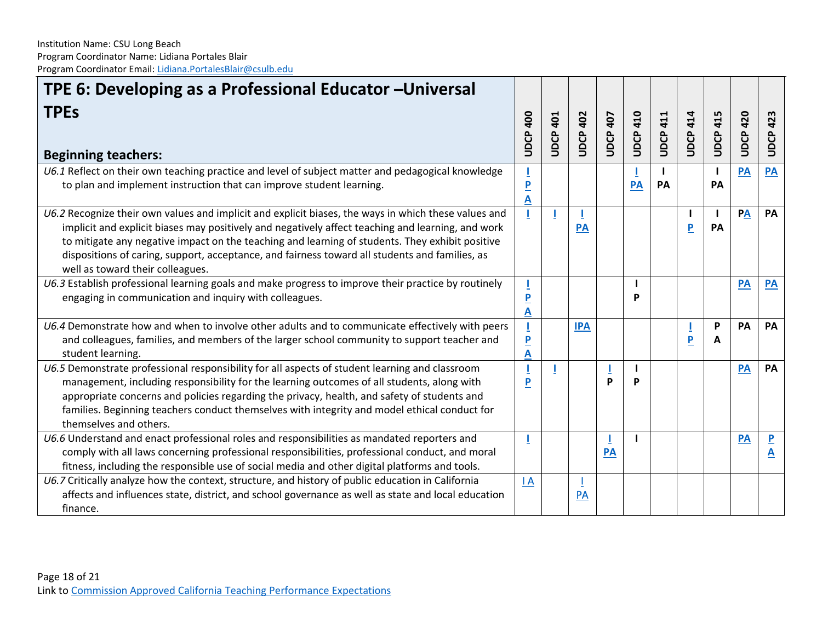| TPE 6: Developing as a Professional Educator - Universal                                                                                                                                                                                                                                                                                                                                                                                           |                              |                 |              |                 |                 |             |                         |                           |             |                              |
|----------------------------------------------------------------------------------------------------------------------------------------------------------------------------------------------------------------------------------------------------------------------------------------------------------------------------------------------------------------------------------------------------------------------------------------------------|------------------------------|-----------------|--------------|-----------------|-----------------|-------------|-------------------------|---------------------------|-------------|------------------------------|
| <b>TPEs</b><br><b>Beginning teachers:</b>                                                                                                                                                                                                                                                                                                                                                                                                          | <b>400</b><br><b>UDCP</b>    | <b>UDCP 401</b> | 402<br>UDCP. | <b>UDCP 407</b> | <b>UDCP 410</b> | 411<br>UDCP | <b>UDCP 414</b>         | <b>UDCP 415</b>           | 420<br>UDCP | UDCP 423                     |
| U6.1 Reflect on their own teaching practice and level of subject matter and pedagogical knowledge<br>to plan and implement instruction that can improve student learning.                                                                                                                                                                                                                                                                          | $\overline{\mathsf{P}}$<br>A |                 |              |                 | PA              | PA          |                         | $\mathbf{I}$<br><b>PA</b> | PA          | PA                           |
| U6.2 Recognize their own values and implicit and explicit biases, the ways in which these values and<br>implicit and explicit biases may positively and negatively affect teaching and learning, and work<br>to mitigate any negative impact on the teaching and learning of students. They exhibit positive<br>dispositions of caring, support, acceptance, and fairness toward all students and families, as<br>well as toward their colleagues. |                              |                 | <b>PA</b>    |                 |                 |             | $\overline{\mathbf{P}}$ | $\mathbf{I}$<br>PA        | PA          | PA                           |
| U6.3 Establish professional learning goals and make progress to improve their practice by routinely<br>engaging in communication and inquiry with colleagues.                                                                                                                                                                                                                                                                                      | $\overline{\mathbf{P}}$<br>A |                 |              |                 | P               |             |                         |                           | PA          | <b>PA</b>                    |
| U6.4 Demonstrate how and when to involve other adults and to communicate effectively with peers<br>and colleagues, families, and members of the larger school community to support teacher and<br>student learning.                                                                                                                                                                                                                                | $\overline{P}$<br>A          |                 | <b>IPA</b>   |                 |                 |             | P                       | P<br>A                    | <b>PA</b>   | PA                           |
| U6.5 Demonstrate professional responsibility for all aspects of student learning and classroom<br>management, including responsibility for the learning outcomes of all students, along with<br>appropriate concerns and policies regarding the privacy, health, and safety of students and<br>families. Beginning teachers conduct themselves with integrity and model ethical conduct for<br>themselves and others.                              | P                            |                 |              | D               | P               |             |                         |                           | PA          | <b>PA</b>                    |
| U6.6 Understand and enact professional roles and responsibilities as mandated reporters and<br>comply with all laws concerning professional responsibilities, professional conduct, and moral<br>fitness, including the responsible use of social media and other digital platforms and tools.                                                                                                                                                     |                              |                 |              | PA              |                 |             |                         |                           | PA          | $\overline{\mathbf{P}}$<br>A |
| U6.7 Critically analyze how the context, structure, and history of public education in California<br>affects and influences state, district, and school governance as well as state and local education<br>finance.                                                                                                                                                                                                                                | $\overline{A}$               |                 | PA           |                 |                 |             |                         |                           |             |                              |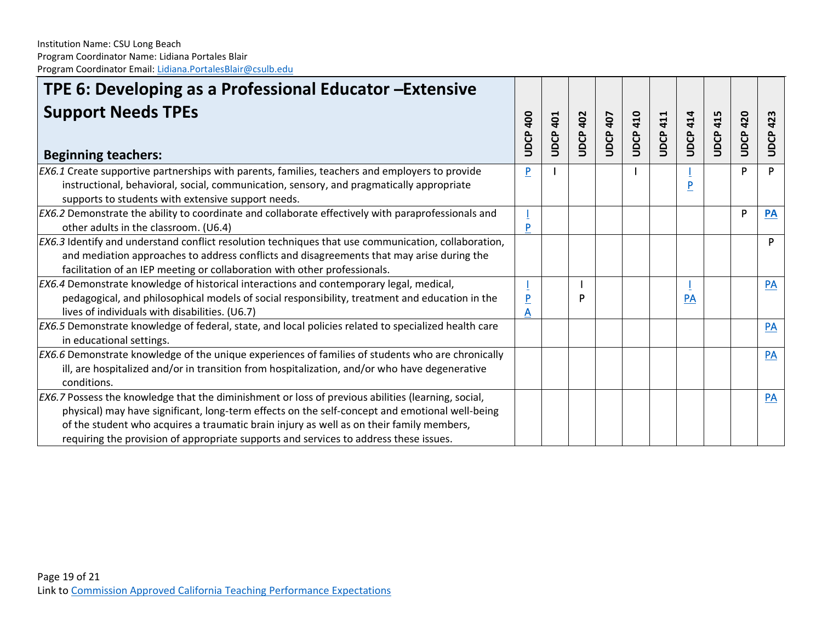| TPE 6: Developing as a Professional Educator - Extensive                                                                                                                                                                                                                                                                                                                                  |                                |          |                    |                 |              |                    |                 |                 |             |                 |
|-------------------------------------------------------------------------------------------------------------------------------------------------------------------------------------------------------------------------------------------------------------------------------------------------------------------------------------------------------------------------------------------|--------------------------------|----------|--------------------|-----------------|--------------|--------------------|-----------------|-----------------|-------------|-----------------|
| <b>Support Needs TPEs</b><br><b>Beginning teachers:</b>                                                                                                                                                                                                                                                                                                                                   | $\frac{400}{2}$<br><b>UDCP</b> | JDCP 401 | 402<br><b>UDCP</b> | <b>JDCP 407</b> | 410<br>UDCP. | 411<br><b>UDCP</b> | <b>UDCP 414</b> | <b>UDCP 415</b> | 420<br>UDCP | <b>UDCP 423</b> |
| EX6.1 Create supportive partnerships with parents, families, teachers and employers to provide<br>instructional, behavioral, social, communication, sensory, and pragmatically appropriate<br>supports to students with extensive support needs.                                                                                                                                          | P                              |          |                    |                 |              |                    | Þ               |                 | Þ           | P               |
| EX6.2 Demonstrate the ability to coordinate and collaborate effectively with paraprofessionals and<br>other adults in the classroom. (U6.4)                                                                                                                                                                                                                                               | P                              |          |                    |                 |              |                    |                 |                 | P           | <b>PA</b>       |
| EX6.3 Identify and understand conflict resolution techniques that use communication, collaboration,<br>and mediation approaches to address conflicts and disagreements that may arise during the<br>facilitation of an IEP meeting or collaboration with other professionals.                                                                                                             |                                |          |                    |                 |              |                    |                 |                 |             | P               |
| EX6.4 Demonstrate knowledge of historical interactions and contemporary legal, medical,<br>pedagogical, and philosophical models of social responsibility, treatment and education in the<br>lives of individuals with disabilities. (U6.7)                                                                                                                                               |                                |          | P                  |                 |              |                    | PA              |                 |             | PA              |
| EX6.5 Demonstrate knowledge of federal, state, and local policies related to specialized health care<br>in educational settings.                                                                                                                                                                                                                                                          |                                |          |                    |                 |              |                    |                 |                 |             | PA              |
| EX6.6 Demonstrate knowledge of the unique experiences of families of students who are chronically<br>ill, are hospitalized and/or in transition from hospitalization, and/or who have degenerative<br>conditions.                                                                                                                                                                         |                                |          |                    |                 |              |                    |                 |                 |             | PA              |
| EX6.7 Possess the knowledge that the diminishment or loss of previous abilities (learning, social,<br>physical) may have significant, long-term effects on the self-concept and emotional well-being<br>of the student who acquires a traumatic brain injury as well as on their family members,<br>requiring the provision of appropriate supports and services to address these issues. |                                |          |                    |                 |              |                    |                 |                 |             | <b>PA</b>       |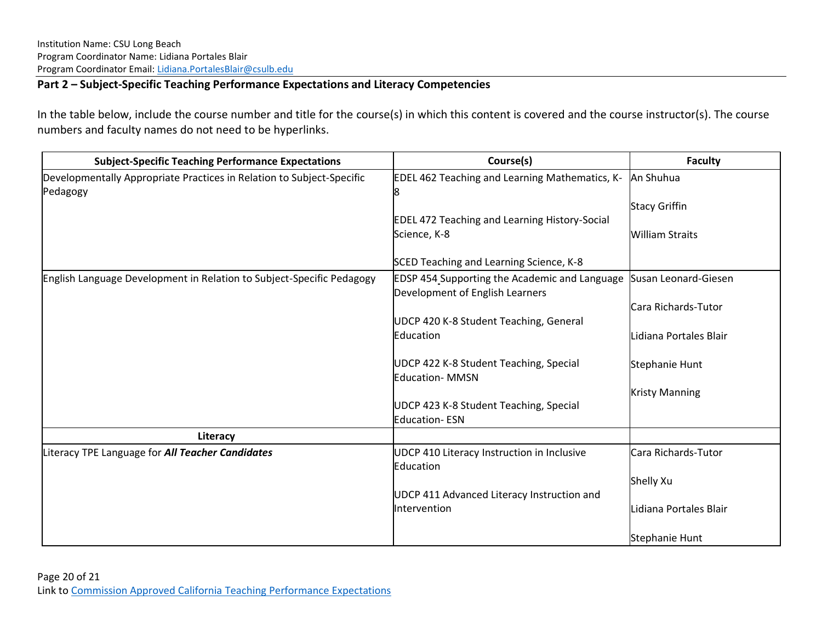### **Part 2 – Subject-Specific Teaching Performance Expectations and Literacy Competencies**

In the table below, include the course number and title for the course(s) in which this content is covered and the course instructor(s). The course numbers and faculty names do not need to be hyperlinks.

| <b>Subject-Specific Teaching Performance Expectations</b>                         | Course(s)                                                                        | <b>Faculty</b>         |
|-----------------------------------------------------------------------------------|----------------------------------------------------------------------------------|------------------------|
| Developmentally Appropriate Practices in Relation to Subject-Specific<br>Pedagogy | EDEL 462 Teaching and Learning Mathematics, K-<br>8                              | An Shuhua              |
|                                                                                   |                                                                                  | <b>Stacy Griffin</b>   |
|                                                                                   | <b>EDEL 472 Teaching and Learning History-Social</b>                             |                        |
|                                                                                   | Science, K-8                                                                     | <b>William Straits</b> |
|                                                                                   | SCED Teaching and Learning Science, K-8                                          |                        |
| English Language Development in Relation to Subject-Specific Pedagogy             | EDSP 454 Supporting the Academic and Language<br>Development of English Learners | Susan Leonard-Giesen   |
|                                                                                   |                                                                                  | Cara Richards-Tutor    |
|                                                                                   | UDCP 420 K-8 Student Teaching, General                                           |                        |
|                                                                                   | Education                                                                        | Lidiana Portales Blair |
|                                                                                   | UDCP 422 K-8 Student Teaching, Special<br><b>Education- MMSN</b>                 | Stephanie Hunt         |
|                                                                                   |                                                                                  | <b>Kristy Manning</b>  |
|                                                                                   | UDCP 423 K-8 Student Teaching, Special<br><b>Education-ESN</b>                   |                        |
| Literacy                                                                          |                                                                                  |                        |
| Literacy TPE Language for All Teacher Candidates                                  | UDCP 410 Literacy Instruction in Inclusive<br>Education                          | Cara Richards-Tutor    |
|                                                                                   |                                                                                  | Shelly Xu              |
|                                                                                   | UDCP 411 Advanced Literacy Instruction and                                       |                        |
|                                                                                   | <b>Intervention</b>                                                              | Lidiana Portales Blair |
|                                                                                   |                                                                                  | Stephanie Hunt         |